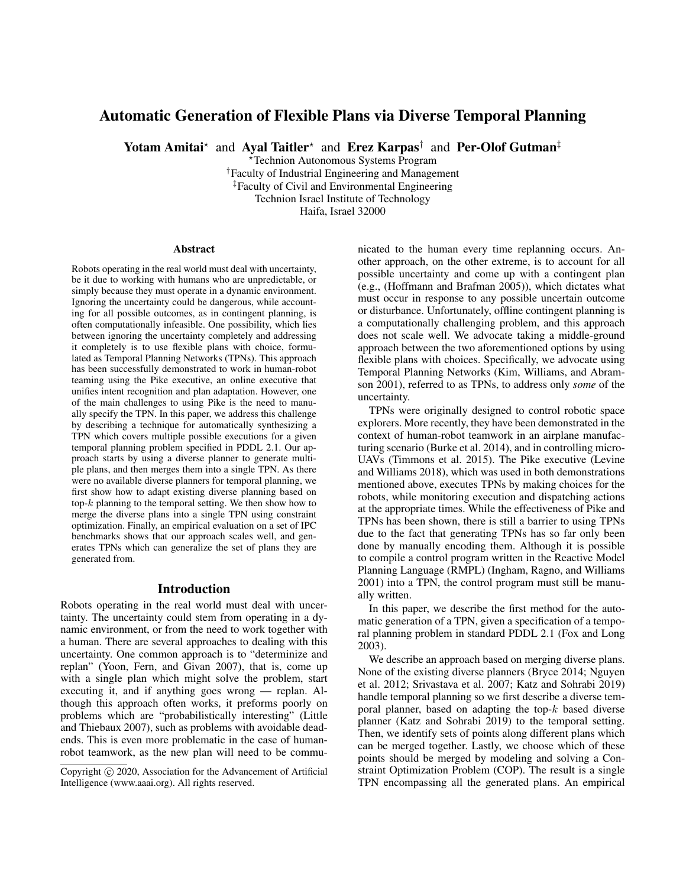# Automatic Generation of Flexible Plans via Diverse Temporal Planning

Yotam Amitai\* and Ayal Taitler\* and Erez Karpas<sup>†</sup> and Per-Olof Gutman<sup>‡</sup>

?Technion Autonomous Systems Program †Faculty of Industrial Engineering and Management ‡Faculty of Civil and Environmental Engineering Technion Israel Institute of Technology

Haifa, Israel 32000

#### Abstract

Robots operating in the real world must deal with uncertainty, be it due to working with humans who are unpredictable, or simply because they must operate in a dynamic environment. Ignoring the uncertainty could be dangerous, while accounting for all possible outcomes, as in contingent planning, is often computationally infeasible. One possibility, which lies between ignoring the uncertainty completely and addressing it completely is to use flexible plans with choice, formulated as Temporal Planning Networks (TPNs). This approach has been successfully demonstrated to work in human-robot teaming using the Pike executive, an online executive that unifies intent recognition and plan adaptation. However, one of the main challenges to using Pike is the need to manually specify the TPN. In this paper, we address this challenge by describing a technique for automatically synthesizing a TPN which covers multiple possible executions for a given temporal planning problem specified in PDDL 2.1. Our approach starts by using a diverse planner to generate multiple plans, and then merges them into a single TPN. As there were no available diverse planners for temporal planning, we first show how to adapt existing diverse planning based on top- $k$  planning to the temporal setting. We then show how to merge the diverse plans into a single TPN using constraint optimization. Finally, an empirical evaluation on a set of IPC benchmarks shows that our approach scales well, and generates TPNs which can generalize the set of plans they are generated from.

### Introduction

Robots operating in the real world must deal with uncertainty. The uncertainty could stem from operating in a dynamic environment, or from the need to work together with a human. There are several approaches to dealing with this uncertainty. One common approach is to "determinize and replan" (Yoon, Fern, and Givan 2007), that is, come up with a single plan which might solve the problem, start executing it, and if anything goes wrong — replan. Although this approach often works, it preforms poorly on problems which are "probabilistically interesting" (Little and Thiebaux 2007), such as problems with avoidable deadends. This is even more problematic in the case of humanrobot teamwork, as the new plan will need to be communicated to the human every time replanning occurs. Another approach, on the other extreme, is to account for all possible uncertainty and come up with a contingent plan (e.g., (Hoffmann and Brafman 2005)), which dictates what must occur in response to any possible uncertain outcome or disturbance. Unfortunately, offline contingent planning is a computationally challenging problem, and this approach does not scale well. We advocate taking a middle-ground approach between the two aforementioned options by using flexible plans with choices. Specifically, we advocate using Temporal Planning Networks (Kim, Williams, and Abramson 2001), referred to as TPNs, to address only *some* of the uncertainty.

TPNs were originally designed to control robotic space explorers. More recently, they have been demonstrated in the context of human-robot teamwork in an airplane manufacturing scenario (Burke et al. 2014), and in controlling micro-UAVs (Timmons et al. 2015). The Pike executive (Levine and Williams 2018), which was used in both demonstrations mentioned above, executes TPNs by making choices for the robots, while monitoring execution and dispatching actions at the appropriate times. While the effectiveness of Pike and TPNs has been shown, there is still a barrier to using TPNs due to the fact that generating TPNs has so far only been done by manually encoding them. Although it is possible to compile a control program written in the Reactive Model Planning Language (RMPL) (Ingham, Ragno, and Williams 2001) into a TPN, the control program must still be manually written.

In this paper, we describe the first method for the automatic generation of a TPN, given a specification of a temporal planning problem in standard PDDL 2.1 (Fox and Long 2003).

We describe an approach based on merging diverse plans. None of the existing diverse planners (Bryce 2014; Nguyen et al. 2012; Srivastava et al. 2007; Katz and Sohrabi 2019) handle temporal planning so we first describe a diverse temporal planner, based on adapting the top- $k$  based diverse planner (Katz and Sohrabi 2019) to the temporal setting. Then, we identify sets of points along different plans which can be merged together. Lastly, we choose which of these points should be merged by modeling and solving a Constraint Optimization Problem (COP). The result is a single TPN encompassing all the generated plans. An empirical

Copyright  $\odot$  2020, Association for the Advancement of Artificial Intelligence (www.aaai.org). All rights reserved.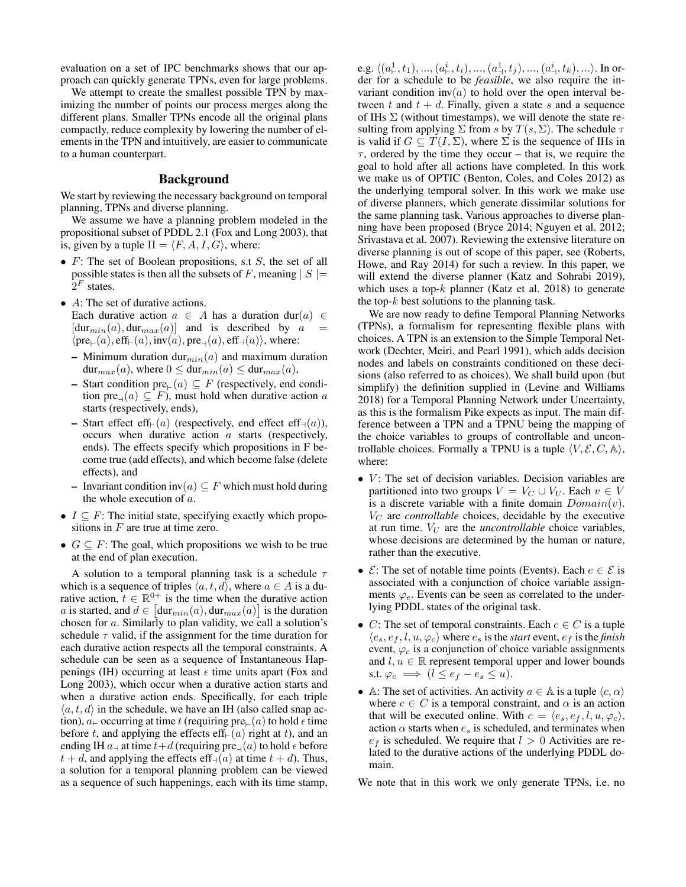evaluation on a set of IPC benchmarks shows that our approach can quickly generate TPNs, even for large problems.

We attempt to create the smallest possible TPN by maximizing the number of points our process merges along the different plans. Smaller TPNs encode all the original plans compactly, reduce complexity by lowering the number of elements in the TPN and intuitively, are easier to communicate to a human counterpart.

# Background

We start by reviewing the necessary background on temporal planning, TPNs and diverse planning.

We assume we have a planning problem modeled in the propositional subset of PDDL 2.1 (Fox and Long 2003), that is, given by a tuple  $\Pi = \langle F, A, I, G \rangle$ , where:

- $F$ : The set of Boolean propositions, s.t  $S$ , the set of all possible states is then all the subsets of F, meaning  $|S|$  =  $2^F$  states.
- A: The set of durative actions.
	- Each durative action  $a \in A$  has a duration dur(a)  $\in$  $[dur_{min}(a), dur_{max}(a)]$  and is described by a  $\langle \text{pre}_{\vdash}(a), \text{eff}_{\vdash}(a), \text{inv}(a), \text{pre}_{\dashv}(a), \text{eff}_{\dashv}(a) \rangle$ , where:
	- Minimum duration dur<sub>min</sub>(a) and maximum duration  $dur_{max}(a)$ , where  $0 \leq dur_{min}(a) \leq dur_{max}(a)$ ,
	- Start condition pre<sub>⊩</sub> $(a) \subseteq F$  (respectively, end condition pre<sub> $\neg$ </sub> $(a) \subseteq F$ ), must hold when durative action a starts (respectively, ends),
	- Start effect eff $\in(a)$  (respectively, end effect eff<sub>-(a)</sub>), occurs when durative action a starts (respectively, ends). The effects specify which propositions in F become true (add effects), and which become false (delete effects), and
	- Invariant condition inv $(a) \subseteq F$  which must hold during the whole execution of  $a$ .
- $I \subseteq F$ : The initial state, specifying exactly which propositions in  $F$  are true at time zero.
- $G \subseteq F$ : The goal, which propositions we wish to be true at the end of plan execution.

A solution to a temporal planning task is a schedule  $\tau$ which is a sequence of triples  $\langle a, t, d \rangle$ , where  $a \in A$  is a durative action,  $t \in \mathbb{R}^{0+}$  is the time when the durative action a is started, and  $d \in [\text{dur}_{min}(a), \text{dur}_{max}(a)]$  is the duration chosen for a. Similarly to plan validity, we call a solution's schedule  $\tau$  valid, if the assignment for the time duration for each durative action respects all the temporal constraints. A schedule can be seen as a sequence of Instantaneous Happenings (IH) occurring at least  $\epsilon$  time units apart (Fox and Long 2003), which occur when a durative action starts and when a durative action ends. Specifically, for each triple  $\langle a, t, d \rangle$  in the schedule, we have an IH (also called snap action),  $a_{\vdash}$  occurring at time t (requiring pre $_{\vdash}(a)$  to hold  $\epsilon$  time before t, and applying the effects eff $\in$  (a) right at t), and an ending IH  $a_\dashv$  at time  $t+d$  (requiring  $\text{pre}_\dashv(a)$  to hold  $\epsilon$  before  $t + d$ , and applying the effects eff<sub>-1</sub>(a) at time  $t + d$ ). Thus, a solution for a temporal planning problem can be viewed as a sequence of such happenings, each with its time stamp,

e.g.  $\langle (a^{1}_{\vdash}, t_{1}), ..., (a^{i}_{\vdash}, t_{i}), ..., (a^{1}_{\dashv}, t_{j}), ..., (a^{i}_{\dashv}, t_{k}), ... \rangle$ . In order for a schedule to be *feasible*, we also require the invariant condition  $inv(a)$  to hold over the open interval between t and  $t + d$ . Finally, given a state s and a sequence of IHs  $\Sigma$  (without timestamps), we will denote the state resulting from applying  $\Sigma$  from s by  $T(s, \Sigma)$ . The schedule  $\tau$ is valid if  $G \subseteq T(I, \Sigma)$ , where  $\Sigma$  is the sequence of IHs in  $\tau$ , ordered by the time they occur – that is, we require the goal to hold after all actions have completed. In this work we make us of OPTIC (Benton, Coles, and Coles 2012) as the underlying temporal solver. In this work we make use of diverse planners, which generate dissimilar solutions for the same planning task. Various approaches to diverse planning have been proposed (Bryce 2014; Nguyen et al. 2012; Srivastava et al. 2007). Reviewing the extensive literature on diverse planning is out of scope of this paper, see (Roberts, Howe, and Ray 2014) for such a review. In this paper, we will extend the diverse planner (Katz and Sohrabi 2019), which uses a top- $k$  planner (Katz et al. 2018) to generate the top- $k$  best solutions to the planning task.

We are now ready to define Temporal Planning Networks (TPNs), a formalism for representing flexible plans with choices. A TPN is an extension to the Simple Temporal Network (Dechter, Meiri, and Pearl 1991), which adds decision nodes and labels on constraints conditioned on these decisions (also referred to as choices). We shall build upon (but simplify) the definition supplied in (Levine and Williams 2018) for a Temporal Planning Network under Uncertainty, as this is the formalism Pike expects as input. The main difference between a TPN and a TPNU being the mapping of the choice variables to groups of controllable and uncontrollable choices. Formally a TPNU is a tuple  $\langle V, \mathcal{E}, C, \mathbb{A} \rangle$ , where:

- $\bullet$  V: The set of decision variables. Decision variables are partitioned into two groups  $V = V_C \cup V_U$ . Each  $v \in V$ is a discrete variable with a finite domain  $Domain(v)$ .  $V_C$  are *controllable* choices, decidable by the executive at run time.  $V_U$  are the *uncontrollable* choice variables, whose decisions are determined by the human or nature, rather than the executive.
- $\mathcal{E}$ : The set of notable time points (Events). Each  $e \in \mathcal{E}$  is associated with a conjunction of choice variable assignments  $\varphi_e$ . Events can be seen as correlated to the underlying PDDL states of the original task.
- C: The set of temporal constraints. Each  $c \in C$  is a tuple  $\langle e_s, e_f, l, u, \varphi_c \rangle$  where  $e_s$  is the *start* event,  $e_f$  is the *finish* event,  $\varphi_c$  is a conjunction of choice variable assignments and  $l, u \in \mathbb{R}$  represent temporal upper and lower bounds s.t.  $\varphi_c \implies (l \leq e_f - e_s \leq u).$
- A: The set of activities. An activity  $a \in A$  is a tuple  $\langle c, \alpha \rangle$ where  $c \in C$  is a temporal constraint, and  $\alpha$  is an action that will be executed online. With  $c = \langle e_s, e_f, l, u, \varphi_c \rangle$ , action  $\alpha$  starts when  $e_s$  is scheduled, and terminates when  $e_f$  is scheduled. We require that  $l > 0$  Activities are related to the durative actions of the underlying PDDL domain.

We note that in this work we only generate TPNs, i.e. no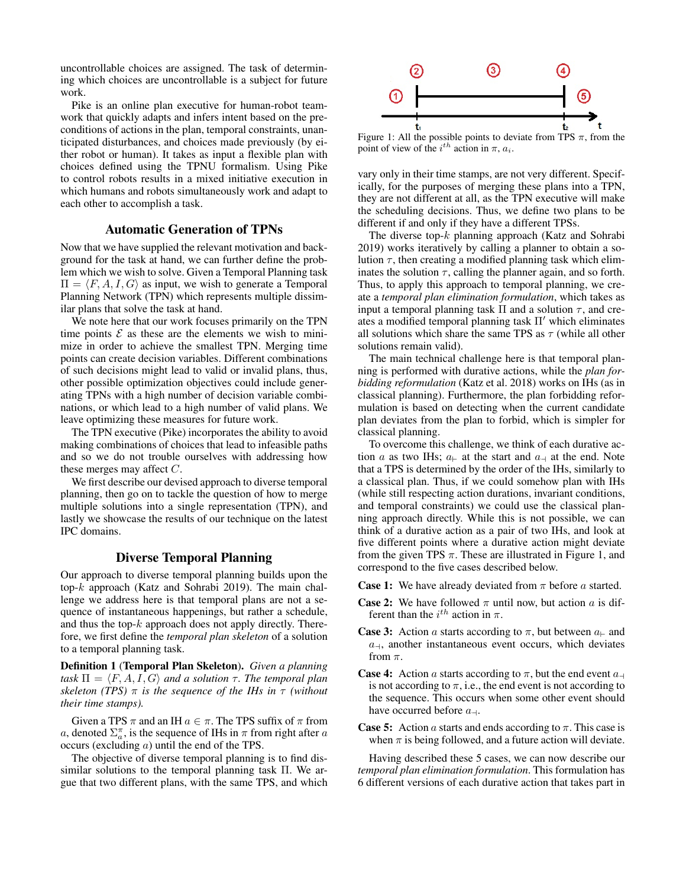uncontrollable choices are assigned. The task of determining which choices are uncontrollable is a subject for future work.

Pike is an online plan executive for human-robot teamwork that quickly adapts and infers intent based on the preconditions of actions in the plan, temporal constraints, unanticipated disturbances, and choices made previously (by either robot or human). It takes as input a flexible plan with choices defined using the TPNU formalism. Using Pike to control robots results in a mixed initiative execution in which humans and robots simultaneously work and adapt to each other to accomplish a task.

### Automatic Generation of TPNs

Now that we have supplied the relevant motivation and background for the task at hand, we can further define the problem which we wish to solve. Given a Temporal Planning task  $\Pi = \langle F, A, I, G \rangle$  as input, we wish to generate a Temporal Planning Network (TPN) which represents multiple dissimilar plans that solve the task at hand.

We note here that our work focuses primarily on the TPN time points  $\mathcal E$  as these are the elements we wish to minimize in order to achieve the smallest TPN. Merging time points can create decision variables. Different combinations of such decisions might lead to valid or invalid plans, thus, other possible optimization objectives could include generating TPNs with a high number of decision variable combinations, or which lead to a high number of valid plans. We leave optimizing these measures for future work.

The TPN executive (Pike) incorporates the ability to avoid making combinations of choices that lead to infeasible paths and so we do not trouble ourselves with addressing how these merges may affect  $C$ .

We first describe our devised approach to diverse temporal planning, then go on to tackle the question of how to merge multiple solutions into a single representation (TPN), and lastly we showcase the results of our technique on the latest IPC domains.

## Diverse Temporal Planning

Our approach to diverse temporal planning builds upon the top-k approach (Katz and Sohrabi 2019). The main challenge we address here is that temporal plans are not a sequence of instantaneous happenings, but rather a schedule, and thus the top- $k$  approach does not apply directly. Therefore, we first define the *temporal plan skeleton* of a solution to a temporal planning task.

Definition 1 (Temporal Plan Skeleton). *Given a planning task*  $\Pi = \langle F, A, I, G \rangle$  *and a solution*  $\tau$ *. The temporal plan skeleton (TPS)* π *is the sequence of the IHs in* τ *(without their time stamps).*

Given a TPS  $\pi$  and an IH  $a \in \pi$ . The TPS suffix of  $\pi$  from a, denoted  $\Sigma_a^{\pi}$ , is the sequence of IHs in  $\pi$  from right after a occurs (excluding a) until the end of the TPS.

The objective of diverse temporal planning is to find dissimilar solutions to the temporal planning task Π. We argue that two different plans, with the same TPS, and which



Figure 1: All the possible points to deviate from TPS  $\pi$ , from the point of view of the  $i^{th}$  action in  $\pi$ ,  $a_i$ .

vary only in their time stamps, are not very different. Specifically, for the purposes of merging these plans into a TPN, they are not different at all, as the TPN executive will make the scheduling decisions. Thus, we define two plans to be different if and only if they have a different TPSs.

The diverse top- $k$  planning approach (Katz and Sohrabi 2019) works iteratively by calling a planner to obtain a solution  $\tau$ , then creating a modified planning task which eliminates the solution  $\tau$ , calling the planner again, and so forth. Thus, to apply this approach to temporal planning, we create a *temporal plan elimination formulation*, which takes as input a temporal planning task  $\Pi$  and a solution  $\tau$ , and creates a modified temporal planning task  $\Pi'$  which eliminates all solutions which share the same TPS as  $\tau$  (while all other solutions remain valid).

The main technical challenge here is that temporal planning is performed with durative actions, while the *plan forbidding reformulation* (Katz et al. 2018) works on IHs (as in classical planning). Furthermore, the plan forbidding reformulation is based on detecting when the current candidate plan deviates from the plan to forbid, which is simpler for classical planning.

To overcome this challenge, we think of each durative action a as two IHs;  $a_{\text{+}}$  at the start and  $a_{\text{+}}$  at the end. Note that a TPS is determined by the order of the IHs, similarly to a classical plan. Thus, if we could somehow plan with IHs (while still respecting action durations, invariant conditions, and temporal constraints) we could use the classical planning approach directly. While this is not possible, we can think of a durative action as a pair of two IHs, and look at five different points where a durative action might deviate from the given TPS  $\pi$ . These are illustrated in Figure 1, and correspond to the five cases described below.

**Case 1:** We have already deviated from  $\pi$  before a started.

- **Case 2:** We have followed  $\pi$  until now, but action a is different than the  $i^{th}$  action in  $\pi$ .
- **Case 3:** Action a starts according to  $\pi$ , but between  $a_{\text{+}}$  and  $a_{\rightarrow}$ , another instantaneous event occurs, which deviates from  $\pi$ .
- **Case 4:** Action a starts according to  $\pi$ , but the end event  $a_{\text{+}}$ is not according to  $\pi$ , i.e., the end event is not according to the sequence. This occurs when some other event should have occurred before  $a_{\rightarrow}$ .
- **Case 5:** Action a starts and ends according to  $\pi$ . This case is when  $\pi$  is being followed, and a future action will deviate.

Having described these 5 cases, we can now describe our *temporal plan elimination formulation*. This formulation has 6 different versions of each durative action that takes part in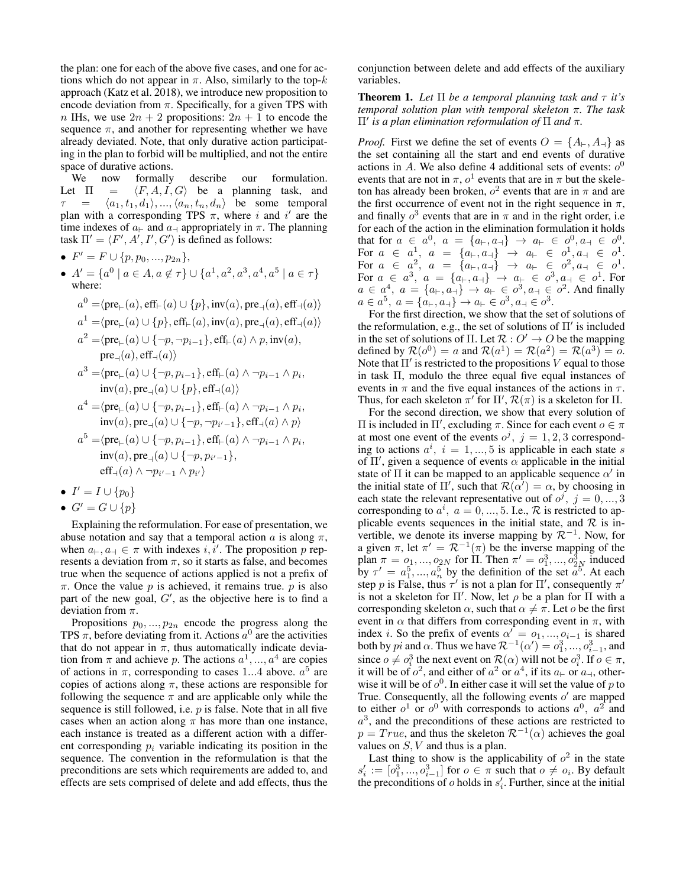the plan: one for each of the above five cases, and one for actions which do not appear in  $\pi$ . Also, similarly to the top- $k$ approach (Katz et al. 2018), we introduce new proposition to encode deviation from  $\pi$ . Specifically, for a given TPS with n IHs, we use  $2n + 2$  propositions:  $2n + 1$  to encode the sequence  $\pi$ , and another for representing whether we have already deviated. Note, that only durative action participating in the plan to forbid will be multiplied, and not the entire space of durative actions.

We now formally describe our formulation.<br>Let  $\Pi = \langle F, A, I, G \rangle$  be a planning task, and  $= \langle F, A, I, G \rangle$  be a planning task, and  $= \langle a_1, t_1, d_1 \rangle, ..., \langle a_n, t_n, d_n \rangle$  be some temporal plan with a corresponding TPS  $\pi$ , where i and i' are the time indexes of  $a_{\vdash}$  and  $a_{\dashv}$  appropriately in  $\pi$ . The planning task  $\Pi' = \langle F', A', I', G' \rangle$  is defined as follows:

• 
$$
F' = F \cup \{p, p_0, ..., p_{2n}\},\
$$

•  $A' = \{a^0 \mid a \in A, a \notin \tau\} \cup \{a^1, a^2, a^3, a^4, a^5 \mid a \in \tau\}$ where:

$$
a^0 = \langle \text{pre}_{\vdash}(a), \text{eff}_{\vdash}(a) \cup \{p\}, \text{inv}(a), \text{pre}_{\dashv}(a), \text{eff}_{\dashv}(a) \rangle
$$
  
\n
$$
a^1 = \langle \text{pre}_{\vdash}(a) \cup \{p\}, \text{eff}_{\vdash}(a), \text{inv}(a), \text{pre}_{\dashv}(a), \text{eff}_{\dashv}(a) \rangle
$$
  
\n
$$
a^2 = \langle \text{pre}_{\vdash}(a) \cup \{\neg p, \neg p_{i-1}\}, \text{eff}_{\vdash}(a) \land p, \text{inv}(a),
$$

pre<sub>–</sub>(a), eff<sub>–</sub>(a)  

$$
a^3 = \langle pre_{\vdash}(a) \cup \{\neg p, p_{i-1}\}, \text{eff}_{\vdash}(a) \land \neg p_{i-1} \land p_i
$$
  
inv(a), pre<sub>–</sub>(a)  $\cup \{p\}, \text{eff}_{\vdash}(a)\rangle$ 

,

$$
a^4 = \langle \text{pre}_{\vdash}(a) \cup \{\neg p, p_{i-1}\}, \text{eff}_{\vdash}(a) \land \neg p_{i-1} \land p_i,
$$
  
inv(a), pre<sub>-1</sub>(a)  $\cup \{\neg p, \neg p_{i'-1}\}, \text{eff}_{\dashv}(a) \land p \rangle$ 

$$
a^{5} = \langle \text{pre}_{\vdash}(a) \cup \{\neg p, p_{i-1}\}, \text{eff}_{\vdash}(a) \land \neg p_{i-1} \land p_i,
$$
  
inv(a), pre\_{\dashv}(a) \cup \{\neg p, p\_{i'-1}\},  
eff\_{\dashv}(a) \land \neg p\_{i'-1} \land p\_{i'} \rangle

$$
\bullet \ \ I' = I \cup \{p_0\}
$$

$$
\bullet \ \ G' = G \cup \{p\}
$$

Explaining the reformulation. For ease of presentation, we abuse notation and say that a temporal action a is along  $\pi$ , when  $a_{\vdash}, a_{\dashv} \in \pi$  with indexes  $i, \tilde{i}'$ . The proposition p represents a deviation from  $\pi$ , so it starts as false, and becomes true when the sequence of actions applied is not a prefix of  $\pi$ . Once the value p is achieved, it remains true. p is also part of the new goal,  $G'$ , as the objective here is to find a deviation from  $\pi$ .

Propositions  $p_0, ..., p_{2n}$  encode the progress along the TPS  $\pi$ , before deviating from it. Actions  $a^0$  are the activities that do not appear in  $\pi$ , thus automatically indicate deviation from  $\pi$  and achieve p. The actions  $a^1, ..., a^4$  are copies of actions in  $\pi$ , corresponding to cases 1...4 above.  $a^{5}$  are copies of actions along  $\pi$ , these actions are responsible for following the sequence  $\pi$  and are applicable only while the sequence is still followed, i.e.  $p$  is false. Note that in all five cases when an action along  $\pi$  has more than one instance, each instance is treated as a different action with a different corresponding  $p_i$  variable indicating its position in the sequence. The convention in the reformulation is that the preconditions are sets which requirements are added to, and effects are sets comprised of delete and add effects, thus the conjunction between delete and add effects of the auxiliary variables.

**Theorem 1.** Let  $\Pi$  be a temporal planning task and  $\tau$  it's *temporal solution plan with temporal skeleton* π*. The task* Π0 *is a plan elimination reformulation of* Π *and* π*.*

*Proof.* First we define the set of events  $O = \{A_{\vdash}, A_{\dashv}\}\$  as the set containing all the start and end events of durative actions in A. We also define 4 additional sets of events:  $o^0$ events that are not in  $\pi$ ,  $o^1$  events that are in  $\pi$  but the skeleton has already been broken,  $o^2$  events that are in  $\pi$  and are the first occurrence of event not in the right sequence in  $\pi$ , and finally  $o^3$  events that are in  $\pi$  and in the right order, i.e for each of the action in the elimination formulation it holds that for  $a \in a^0$ ,  $a = \{a_{\vdash}, a_{\dashv}\} \to a_{\vdash} \in o^0, a_{\dashv} \in o^0$ . For  $a \in a^1$ ,  $a = \{a_+, a_+\}$   $\rightarrow a_+ \in a^1, a_+ \in a^1$ . For  $a \in a^2$ ,  $a = \{a_+, a_+\} \rightarrow a_+ \in o^2, a_+ \in o^1$ . For  $a \in a^3$ ,  $a = \{a_{\vdash}, a_{\dashv}\}$   $\to a_{\vdash} \in o^3, a_{\dashv} \in o^1$ . For  $a \in a^4$ ,  $a = \{a_{\vdash}, a_{\dashv}\} \to a_{\vdash} \in o^3, a_{\dashv} \in o^2$ . And finally  $a \in a^5$ ,  $a = \{a_{\vdash}, a_{\dashv}\} \to a_{\vdash} \in o^3, a_{\dashv} \in o^3$ .

For the first direction, we show that the set of solutions of the reformulation, e.g., the set of solutions of  $\Pi'$  is included in the set of solutions of Π. Let  $\mathcal{R}: O' \to O$  be the mapping defined by  $\mathcal{R}(o^0) = a$  and  $\mathcal{R}(a^1) = \mathcal{R}(a^2) = \mathcal{R}(a^3) = o$ . Note that  $\Pi'$  is restricted to the propositions V equal to those in task Π, modulo the three equal five equal instances of events in  $\pi$  and the five equal instances of the actions in  $\tau$ . Thus, for each skeleton  $\pi'$  for  $\Pi'$ ,  $\mathcal{R}(\pi)$  is a skeleton for  $\Pi$ .

For the second direction, we show that every solution of Π is included in  $\Pi'$ , excluding  $\pi$ . Since for each event  $o \in \pi$ at most one event of the events  $o^j$ ,  $j = 1, 2, 3$  corresponding to actions  $a^i$ ,  $i = 1, ..., 5$  is applicable in each state s of  $\Pi'$ , given a sequence of events  $\alpha$  applicable in the initial state of  $\Pi$  it can be mapped to an applicable sequence  $\alpha'$  in the initial state of  $\Pi'$ , such that  $\mathcal{R}(\alpha') = \alpha$ , by choosing in each state the relevant representative out of  $o^j$ ,  $j = 0, ..., 3$ corresponding to  $a^i$ ,  $a = 0, ..., 5$ . I.e.,  $\mathcal{R}$  is restricted to applicable events sequences in the initial state, and  $\mathcal R$  is invertible, we denote its inverse mapping by  $\mathcal{R}^{-1}$ . Now, for a given  $\pi$ , let  $\pi' = \mathcal{R}^{-1}(\pi)$  be the inverse mapping of the plan  $\pi = 0_1, ..., 0_{2N}$  for  $\Pi$ . Then  $\pi' = 0_1^3, ..., 0_{2N}^3$  induced by  $\tau' = a_1^5, ..., a_n^5$  by the definition of the set  $a_1^5$ . At each step p is False, thus  $\tau'$  is not a plan for  $\Pi'$ , consequently  $\pi'$ is not a skeleton for  $\Pi'$ . Now, let  $\rho$  be a plan for  $\Pi$  with a corresponding skeleton  $\alpha$ , such that  $\alpha \neq \pi$ . Let *o* be the first event in  $\alpha$  that differs from corresponding event in  $\pi$ , with index *i*. So the prefix of events  $\alpha' = 0, \ldots, 0, -1$  is shared both by *pi* and  $\alpha$ . Thus we have  $\mathcal{R}^{-1}(\alpha') = o_1^3, ..., o_{i-1}^3$ , and since  $o \neq o_i^3$  the next event on  $\mathcal{R}(\alpha)$  will not be  $o_i^3$ . If  $o \in \pi$ , it will be of  $o^2$ , and either of  $a^2$  or  $a^4$ , if its  $a_{\vdash}$  or  $a_{\dashv}$ , otherwise it will be of  $o^0$ . In either case it will set the value of p to True. Consequently, all the following events  $o'$  are mapped to either  $o^1$  or  $o^0$  with corresponds to actions  $a^0$ ,  $a^2$  and  $a<sup>3</sup>$ , and the preconditions of these actions are restricted to  $p = True$ , and thus the skeleton  $\mathcal{R}^{-1}(\alpha)$  achieves the goal values on  $S$ ,  $V$  and thus is a plan.

Last thing to show is the applicability of  $o^2$  in the state  $s'_i := [o_1^3, ..., o_{i-1}^3]$  for  $o \in \pi$  such that  $o \neq o_i$ . By default the preconditions of  $o$  holds in  $s'_i$ . Further, since at the initial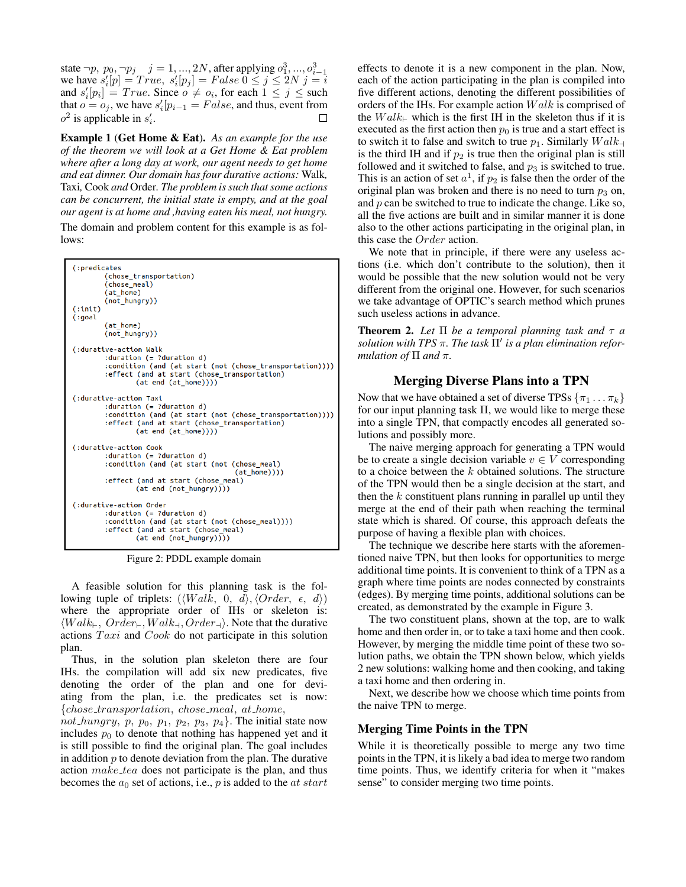state  $\neg p, p_0, \neg p_j \quad j = 1, ..., 2N$ , after applying  $o_1^3, ..., o_{i-1}^3$ <br>we have  $s'_i[p] = True, s'_i[p_j] = False \ 0 \le j \le 2N \ j = i$ and  $s'_i[p_i] = True$ . Since  $o \neq o_i$ , for each  $1 \leq j \leq$  such that  $o = o_j$ , we have  $s'_i[p_{i-1} = False$ , and thus, event from  $o^2$  is applicable in  $s'_i$ . □

Example 1 (Get Home & Eat). *As an example for the use of the theorem we will look at a Get Home & Eat problem where after a long day at work, our agent needs to get home and eat dinner. Our domain has four durative actions:* Walk*,* Taxi*,* Cook *and* Order*. The problem is such that some actions can be concurrent, the initial state is empty, and at the goal our agent is at home and ,having eaten his meal, not hungry.*

The domain and problem content for this example is as follows:



Figure 2: PDDL example domain

A feasible solution for this planning task is the following tuple of triplets:  $(\langle Walk, 0, d \rangle, \langle Order, \epsilon, d \rangle)$ where the appropriate order of IHs or skeleton is:  $\langle Walk_+, Order_+, Walk_+, Order_+\rangle$ . Note that the durative actions  $Taxi$  and  $Cook$  do not participate in this solution plan.

Thus, in the solution plan skeleton there are four IHs. the compilation will add six new predicates, five denoting the order of the plan and one for deviating from the plan, i.e. the predicates set is now: {chose transportation, chose meal, at home,

not hungry, p, p<sub>0</sub>, p<sub>1</sub>, p<sub>2</sub>, p<sub>3</sub>, p<sub>4</sub>}. The initial state now includes  $p_0$  to denote that nothing has happened yet and it is still possible to find the original plan. The goal includes in addition  $p$  to denote deviation from the plan. The durative action make tea does not participate is the plan, and thus becomes the  $a_0$  set of actions, i.e., p is added to the *at start* 

effects to denote it is a new component in the plan. Now, each of the action participating in the plan is compiled into five different actions, denoting the different possibilities of orders of the IHs. For example action  $Walk$  is comprised of the  $Walk_{\vdash}$  which is the first IH in the skeleton thus if it is executed as the first action then  $p_0$  is true and a start effect is to switch it to false and switch to true  $p_1$ . Similarly  $Walk_{\perp}$ is the third IH and if  $p_2$  is true then the original plan is still followed and it switched to false, and  $p_3$  is switched to true. This is an action of set  $a^1$ , if  $p_2$  is false then the order of the original plan was broken and there is no need to turn  $p_3$  on, and  $p$  can be switched to true to indicate the change. Like so, all the five actions are built and in similar manner it is done also to the other actions participating in the original plan, in this case the Order action.

We note that in principle, if there were any useless actions (i.e. which don't contribute to the solution), then it would be possible that the new solution would not be very different from the original one. However, for such scenarios we take advantage of OPTIC's search method which prunes such useless actions in advance.

**Theorem 2.** Let  $\Pi$  be a temporal planning task and  $\tau$  a *solution with TPS*  $\pi$ . The task  $\Pi'$  is a plan elimination refor*mulation of*  $\Pi$  *and*  $\pi$ *.* 

# Merging Diverse Plans into a TPN

Now that we have obtained a set of diverse TPSs  $\{\pi_1 \dots \pi_k\}$ for our input planning task  $\Pi$ , we would like to merge these into a single TPN, that compactly encodes all generated solutions and possibly more.

The naive merging approach for generating a TPN would be to create a single decision variable  $v \in V$  corresponding to a choice between the k obtained solutions. The structure of the TPN would then be a single decision at the start, and then the  $k$  constituent plans running in parallel up until they merge at the end of their path when reaching the terminal state which is shared. Of course, this approach defeats the purpose of having a flexible plan with choices.

The technique we describe here starts with the aforementioned naive TPN, but then looks for opportunities to merge additional time points. It is convenient to think of a TPN as a graph where time points are nodes connected by constraints (edges). By merging time points, additional solutions can be created, as demonstrated by the example in Figure 3.

The two constituent plans, shown at the top, are to walk home and then order in, or to take a taxi home and then cook. However, by merging the middle time point of these two solution paths, we obtain the TPN shown below, which yields 2 new solutions: walking home and then cooking, and taking a taxi home and then ordering in.

Next, we describe how we choose which time points from the naive TPN to merge.

### Merging Time Points in the TPN

While it is theoretically possible to merge any two time points in the TPN, it is likely a bad idea to merge two random time points. Thus, we identify criteria for when it "makes sense" to consider merging two time points.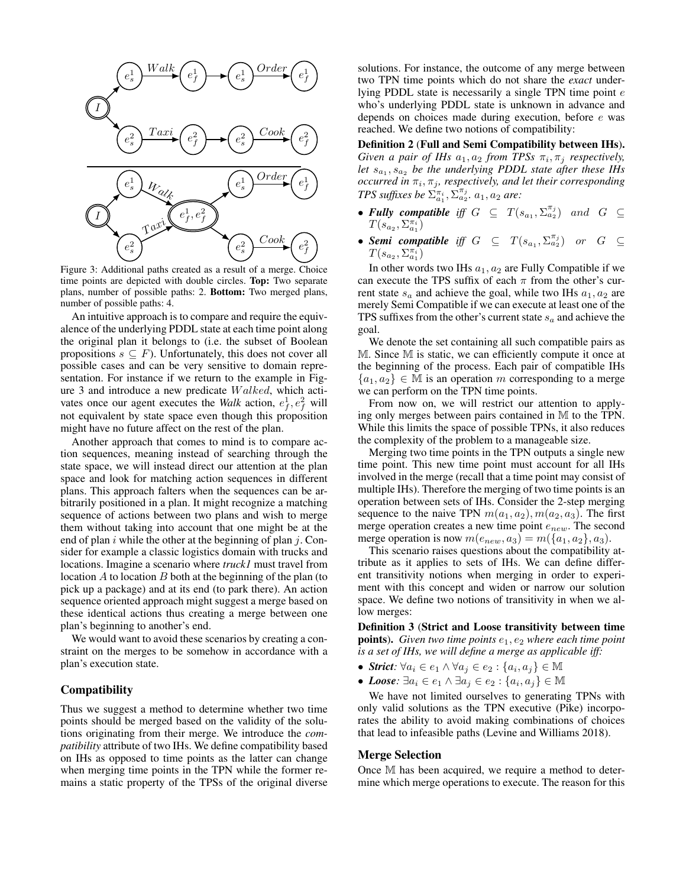

Figure 3: Additional paths created as a result of a merge. Choice time points are depicted with double circles. Top: Two separate plans, number of possible paths: 2. Bottom: Two merged plans, number of possible paths: 4.

An intuitive approach is to compare and require the equivalence of the underlying PDDL state at each time point along the original plan it belongs to (i.e. the subset of Boolean propositions  $s \subseteq F$ ). Unfortunately, this does not cover all possible cases and can be very sensitive to domain representation. For instance if we return to the example in Figure 3 and introduce a new predicate W alked, which activates once our agent executes the *Walk* action,  $e_f^1, e_f^2$  will not equivalent by state space even though this proposition might have no future affect on the rest of the plan.

Another approach that comes to mind is to compare action sequences, meaning instead of searching through the state space, we will instead direct our attention at the plan space and look for matching action sequences in different plans. This approach falters when the sequences can be arbitrarily positioned in a plan. It might recognize a matching sequence of actions between two plans and wish to merge them without taking into account that one might be at the end of plan i while the other at the beginning of plan  $j$ . Consider for example a classic logistics domain with trucks and locations. Imagine a scenario where *truck1* must travel from location  $A$  to location  $B$  both at the beginning of the plan (to pick up a package) and at its end (to park there). An action sequence oriented approach might suggest a merge based on these identical actions thus creating a merge between one plan's beginning to another's end.

We would want to avoid these scenarios by creating a constraint on the merges to be somehow in accordance with a plan's execution state.

# Compatibility

Thus we suggest a method to determine whether two time points should be merged based on the validity of the solutions originating from their merge. We introduce the *compatibility* attribute of two IHs. We define compatibility based on IHs as opposed to time points as the latter can change when merging time points in the TPN while the former remains a static property of the TPSs of the original diverse

solutions. For instance, the outcome of any merge between two TPN time points which do not share the *exact* underlying PDDL state is necessarily a single TPN time point e who's underlying PDDL state is unknown in advance and depends on choices made during execution, before e was reached. We define two notions of compatibility:

Definition 2 (Full and Semi Compatibility between IHs). *Given a pair of IHs*  $a_1, a_2$  *from TPSs*  $\pi_i, \pi_j$  *respectively,* let  $s_{a_1}, s_{a_2}$  be the underlying PDDL state after these IHs  $occurred in  $\pi_i$ ,  $\pi_j$ , respectively, and let their corresponding$ *TPS suffixes be*  $\sum_{a_1}^{\pi_i}$ ,  $\sum_{a_2}^{\pi_j}$ .  $a_1$ ,  $a_2$  *are:* 

- Fully compatible iff  $G \subseteq T(s_{a_1}, \Sigma_{a_2}^{\pi_j})$  and  $G \subseteq$  $T(s_{a_2},\Sigma_{a_1}^{\pi_i})$
- **Semi compatible** iff  $G \subseteq T(s_{a_1}, \Sigma_{a_2}^{\pi_j})$  or  $G \subseteq$  $T(s_{a_2},\Sigma_{a_1}^{\pi_i})$

In other words two IHs  $a_1, a_2$  are Fully Compatible if we can execute the TPS suffix of each  $\pi$  from the other's current state  $s_a$  and achieve the goal, while two IHs  $a_1, a_2$  are merely Semi Compatible if we can execute at least one of the TPS suffixes from the other's current state  $s_a$  and achieve the goal.

We denote the set containing all such compatible pairs as M. Since M is static, we can efficiently compute it once at the beginning of the process. Each pair of compatible IHs  ${a_1, a_2} \in \mathbb{M}$  is an operation m corresponding to a merge we can perform on the TPN time points.

From now on, we will restrict our attention to applying only merges between pairs contained in M to the TPN. While this limits the space of possible TPNs, it also reduces the complexity of the problem to a manageable size.

Merging two time points in the TPN outputs a single new time point. This new time point must account for all IHs involved in the merge (recall that a time point may consist of multiple IHs). Therefore the merging of two time points is an operation between sets of IHs. Consider the 2-step merging sequence to the naive TPN  $m(a_1, a_2)$ ,  $m(a_2, a_3)$ . The first merge operation creates a new time point  $e_{new}$ . The second merge operation is now  $m(e_{new}, a_3) = m(\lbrace a_1, a_2 \rbrace, a_3)$ .

This scenario raises questions about the compatibility attribute as it applies to sets of IHs. We can define different transitivity notions when merging in order to experiment with this concept and widen or narrow our solution space. We define two notions of transitivity in when we allow merges:

Definition 3 (Strict and Loose transitivity between time **points).** Given two time points  $e_1, e_2$  where each time point *is a set of IHs, we will define a merge as applicable iff:*

- *Strict*:  $\forall a_i \in e_1 \land \forall a_j \in e_2 : \{a_i, a_j\} \in \mathbb{M}$
- Loose:  $\exists a_i \in e_1 \land \exists a_j \in e_2 : \{a_i, a_j\} \in \mathbb{M}$

We have not limited ourselves to generating TPNs with only valid solutions as the TPN executive (Pike) incorporates the ability to avoid making combinations of choices that lead to infeasible paths (Levine and Williams 2018).

### Merge Selection

Once M has been acquired, we require a method to determine which merge operations to execute. The reason for this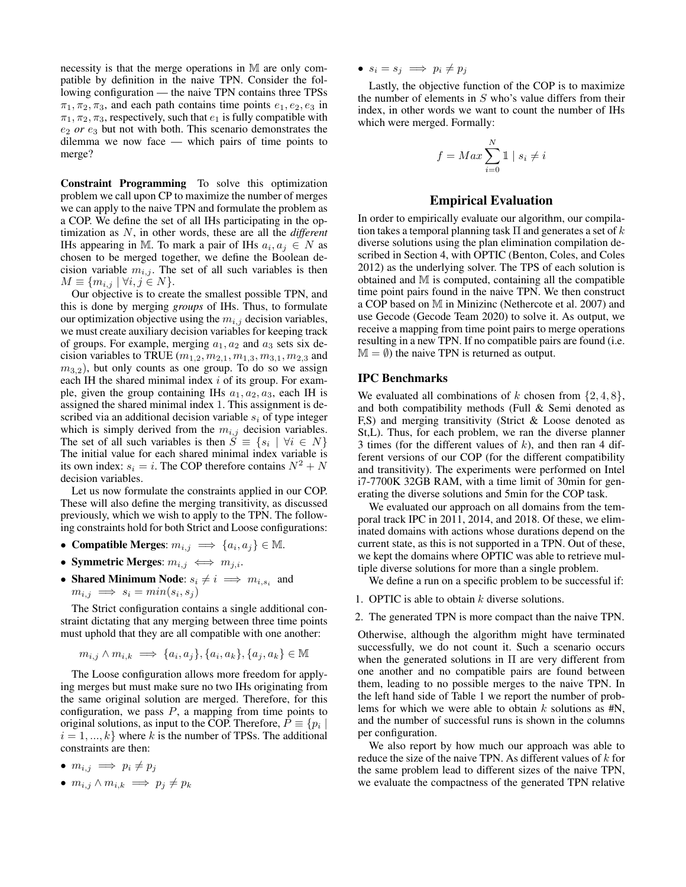necessity is that the merge operations in M are only compatible by definition in the naive TPN. Consider the following configuration — the naive TPN contains three TPSs  $\pi_1, \pi_2, \pi_3$ , and each path contains time points  $e_1, e_2, e_3$  in  $\pi_1, \pi_2, \pi_3$ , respectively, such that  $e_1$  is fully compatible with  $e_2$  *or*  $e_3$  but not with both. This scenario demonstrates the dilemma we now face — which pairs of time points to merge?

Constraint Programming To solve this optimization problem we call upon CP to maximize the number of merges we can apply to the naive TPN and formulate the problem as a COP. We define the set of all IHs participating in the optimization as N, in other words, these are all the *different* IHs appearing in M. To mark a pair of IHs  $a_i, a_j \in N$  as chosen to be merged together, we define the Boolean decision variable  $m_{i,j}$ . The set of all such variables is then  $M \equiv \{m_{i,j} \mid \forall i, j \in N\}.$ 

Our objective is to create the smallest possible TPN, and this is done by merging *groups* of IHs. Thus, to formulate our optimization objective using the  $m_{i,j}$  decision variables, we must create auxiliary decision variables for keeping track of groups. For example, merging  $a_1, a_2$  and  $a_3$  sets six decision variables to TRUE  $(m_{1,2}, m_{2,1}, m_{1,3}, m_{3,1}, m_{2,3}$  and  $m_{3,2}$ ), but only counts as one group. To do so we assign each IH the shared minimal index  $i$  of its group. For example, given the group containing IHs  $a_1, a_2, a_3$ , each IH is assigned the shared minimal index 1. This assignment is described via an additional decision variable  $s_i$  of type integer which is simply derived from the  $m_{i,j}$  decision variables. The set of all such variables is then  $S \equiv \{s_i \mid \forall i \in N\}$ The initial value for each shared minimal index variable is its own index:  $s_i = i$ . The COP therefore contains  $N^2 + N$ decision variables.

Let us now formulate the constraints applied in our COP. These will also define the merging transitivity, as discussed previously, which we wish to apply to the TPN. The following constraints hold for both Strict and Loose configurations:

- Compatible Merges:  $m_{i,j} \implies \{a_i, a_j\} \in \mathbb{M}$ .
- Symmetric Merges:  $m_{i,j} \iff m_{j,i}$ .
- Shared Minimum Node:  $s_i \neq i \implies m_{i,s_i}$  and  $m_{i,j} \implies s_i = min(s_i, s_j)$

The Strict configuration contains a single additional constraint dictating that any merging between three time points must uphold that they are all compatible with one another:

$$
m_{i,j} \wedge m_{i,k} \implies \{a_i, a_j\}, \{a_i, a_k\}, \{a_j, a_k\} \in \mathbb{M}
$$

The Loose configuration allows more freedom for applying merges but must make sure no two IHs originating from the same original solution are merged. Therefore, for this configuration, we pass  $P$ , a mapping from time points to original solutions, as input to the COP. Therefore,  $P \equiv \{p_i \mid$  $i = 1, ..., k$  where k is the number of TPSs. The additional constraints are then:

- $m_{i,j} \implies p_i \neq p_j$
- $m_{i,j} \wedge m_{i,k} \implies p_j \neq p_k$

•  $s_i = s_j \implies p_i \neq p_j$ 

Lastly, the objective function of the COP is to maximize the number of elements in  $S$  who's value differs from their index, in other words we want to count the number of IHs which were merged. Formally:

$$
f = Max \sum_{i=0}^{N} 1 \mid s_i \neq i
$$

### Empirical Evaluation

In order to empirically evaluate our algorithm, our compilation takes a temporal planning task  $\Pi$  and generates a set of k diverse solutions using the plan elimination compilation described in Section 4, with OPTIC (Benton, Coles, and Coles 2012) as the underlying solver. The TPS of each solution is obtained and M is computed, containing all the compatible time point pairs found in the naive TPN. We then construct a COP based on M in Minizinc (Nethercote et al. 2007) and use Gecode (Gecode Team 2020) to solve it. As output, we receive a mapping from time point pairs to merge operations resulting in a new TPN. If no compatible pairs are found (i.e.  $M = \emptyset$ ) the naive TPN is returned as output.

### IPC Benchmarks

We evaluated all combinations of k chosen from  $\{2, 4, 8\}$ , and both compatibility methods (Full & Semi denoted as F,S) and merging transitivity (Strict & Loose denoted as St,L). Thus, for each problem, we ran the diverse planner 3 times (for the different values of  $k$ ), and then ran 4 different versions of our COP (for the different compatibility and transitivity). The experiments were performed on Intel i7-7700K 32GB RAM, with a time limit of 30min for generating the diverse solutions and 5min for the COP task.

We evaluated our approach on all domains from the temporal track IPC in 2011, 2014, and 2018. Of these, we eliminated domains with actions whose durations depend on the current state, as this is not supported in a TPN. Out of these, we kept the domains where OPTIC was able to retrieve multiple diverse solutions for more than a single problem.

We define a run on a specific problem to be successful if:

- 1. OPTIC is able to obtain  $k$  diverse solutions.
- 2. The generated TPN is more compact than the naive TPN.

Otherwise, although the algorithm might have terminated successfully, we do not count it. Such a scenario occurs when the generated solutions in  $\Pi$  are very different from one another and no compatible pairs are found between them, leading to no possible merges to the naive TPN. In the left hand side of Table 1 we report the number of problems for which we were able to obtain  $k$  solutions as  $#N$ , and the number of successful runs is shown in the columns per configuration.

We also report by how much our approach was able to reduce the size of the naive TPN. As different values of  $k$  for the same problem lead to different sizes of the naive TPN, we evaluate the compactness of the generated TPN relative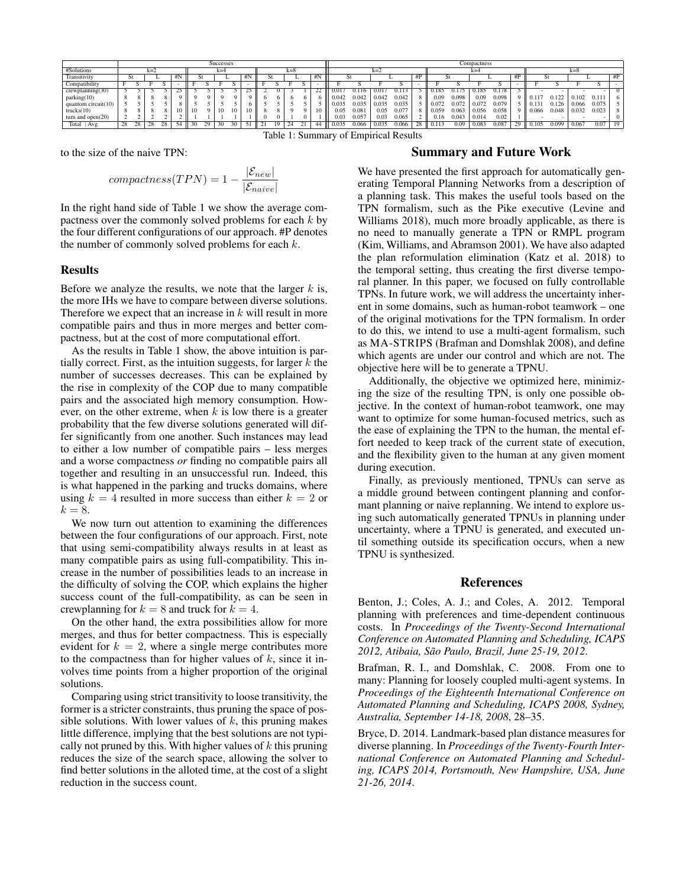|                        | <b>Successes</b> |    |       |  |       |    |    |    |    |         |  |  |     |  |       | Compactness    |       |       |       |       |       |       |       |       |          |       |       |                |       |       |
|------------------------|------------------|----|-------|--|-------|----|----|----|----|---------|--|--|-----|--|-------|----------------|-------|-------|-------|-------|-------|-------|-------|-------|----------|-------|-------|----------------|-------|-------|
| #Solutions             |                  |    | $k=2$ |  | $k=4$ |    |    |    |    | $k = 8$ |  |  |     |  | $k=2$ |                |       |       |       | $k=4$ |       |       |       |       | $k = 8$  |       |       |                |       |       |
| Transitivity           |                  |    |       |  | HIN   | C. |    |    |    | #N      |  |  |     |  | #N    | St             |       |       |       | #P    |       |       |       |       | #P       | ы     |       |                |       | # $P$ |
| Compatibility          |                  |    |       |  |       |    |    |    |    |         |  |  |     |  |       |                |       |       |       |       |       |       |       |       |          |       |       |                |       |       |
| crewplanning(30)       |                  |    |       |  |       |    |    |    |    |         |  |  |     |  | 22    | $0.01^{\circ}$ | 0.116 | 0.01  |       |       | .185  |       | 0.185 | 78    |          |       |       |                |       |       |
| parking(10)            |                  |    |       |  |       |    |    |    |    |         |  |  |     |  |       | 0.042          | 0.042 | 0.042 | 0.042 |       | 0.09  | 0.098 | 0.09  | 0.098 | $\Omega$ | 0.11  | 0.122 | .102           | 0.111 |       |
| quantom circuit $(10)$ |                  |    |       |  |       |    |    |    |    |         |  |  |     |  |       | 0.035          | 0.035 | 0.035 | 0.035 |       | 0.072 | 0.072 | 0.072 | 0.079 |          | 0.13  | 0.126 | 0.066          | 0.075 |       |
| trucks(10)             |                  |    |       |  |       |    |    | 10 | 10 | 10      |  |  |     |  |       | 0.05           | 0.081 | 0.05  | 0.07  |       | 0.059 | 0.063 | 0.056 | 0.058 | $\Omega$ | 0.066 | 0.048 | 0.032          | 0.023 |       |
| turn and $open(20)$    |                  |    |       |  |       |    |    |    |    |         |  |  |     |  |       | 0.03           | 0.057 | 0.03  | 0.065 |       | 0.16  | 0.043 | 0.014 | 0.02  |          |       |       |                |       |       |
| Total<br>  Avg         | 28               | 28 | 28    |  |       |    | 29 |    |    |         |  |  | -44 |  |       | 0.035          | 0.066 | 0.035 | 0.066 |       |       | 0.09  | 0.083 | 0.08  | 20.      | 0.105 | 0.099 | $0.06^{\circ}$ | 0.07  | -19   |

Table 1: Summary of Empirical Results

to the size of the naive TPN:

$$
compactness(TPN) = 1 - \frac{|\mathcal{E}_{new}|}{|\mathcal{E}_{naive}|}
$$

In the right hand side of Table 1 we show the average compactness over the commonly solved problems for each  $k$  by the four different configurations of our approach. #P denotes the number of commonly solved problems for each  $k$ .

## **Results**

Before we analyze the results, we note that the larger  $k$  is, the more IHs we have to compare between diverse solutions. Therefore we expect that an increase in  $k$  will result in more compatible pairs and thus in more merges and better compactness, but at the cost of more computational effort.

As the results in Table 1 show, the above intuition is partially correct. First, as the intuition suggests, for larger  $k$  the number of successes decreases. This can be explained by the rise in complexity of the COP due to many compatible pairs and the associated high memory consumption. However, on the other extreme, when  $k$  is low there is a greater probability that the few diverse solutions generated will differ significantly from one another. Such instances may lead to either a low number of compatible pairs – less merges and a worse compactness *or* finding no compatible pairs all together and resulting in an unsuccessful run. Indeed, this is what happened in the parking and trucks domains, where using  $k = 4$  resulted in more success than either  $k = 2$  or  $k = 8$ .

We now turn out attention to examining the differences between the four configurations of our approach. First, note that using semi-compatibility always results in at least as many compatible pairs as using full-compatibility. This increase in the number of possibilities leads to an increase in the difficulty of solving the COP, which explains the higher success count of the full-compatibility, as can be seen in crewplanning for  $k = 8$  and truck for  $k = 4$ .

On the other hand, the extra possibilities allow for more merges, and thus for better compactness. This is especially evident for  $k = 2$ , where a single merge contributes more to the compactness than for higher values of  $k$ , since it involves time points from a higher proportion of the original solutions.

Comparing using strict transitivity to loose transitivity, the former is a stricter constraints, thus pruning the space of possible solutions. With lower values of  $k$ , this pruning makes little difference, implying that the best solutions are not typically not pruned by this. With higher values of  $k$  this pruning reduces the size of the search space, allowing the solver to find better solutions in the alloted time, at the cost of a slight reduction in the success count.

### Summary and Future Work

We have presented the first approach for automatically generating Temporal Planning Networks from a description of a planning task. This makes the useful tools based on the TPN formalism, such as the Pike executive (Levine and Williams 2018), much more broadly applicable, as there is no need to manually generate a TPN or RMPL program (Kim, Williams, and Abramson 2001). We have also adapted the plan reformulation elimination (Katz et al. 2018) to the temporal setting, thus creating the first diverse temporal planner. In this paper, we focused on fully controllable TPNs. In future work, we will address the uncertainty inherent in some domains, such as human-robot teamwork – one of the original motivations for the TPN formalism. In order to do this, we intend to use a multi-agent formalism, such as MA-STRIPS (Brafman and Domshlak 2008), and define which agents are under our control and which are not. The objective here will be to generate a TPNU.

Additionally, the objective we optimized here, minimizing the size of the resulting TPN, is only one possible objective. In the context of human-robot teamwork, one may want to optimize for some human-focused metrics, such as the ease of explaining the TPN to the human, the mental effort needed to keep track of the current state of execution, and the flexibility given to the human at any given moment during execution.

Finally, as previously mentioned, TPNUs can serve as a middle ground between contingent planning and conformant planning or naive replanning. We intend to explore using such automatically generated TPNUs in planning under uncertainty, where a TPNU is generated, and executed until something outside its specification occurs, when a new TPNU is synthesized.

### References

Benton, J.; Coles, A. J.; and Coles, A. 2012. Temporal planning with preferences and time-dependent continuous costs. In *Proceedings of the Twenty-Second International Conference on Automated Planning and Scheduling, ICAPS* 2012, Atibaia, São Paulo, Brazil, June 25-19, 2012.

Brafman, R. I., and Domshlak, C. 2008. From one to many: Planning for loosely coupled multi-agent systems. In *Proceedings of the Eighteenth International Conference on Automated Planning and Scheduling, ICAPS 2008, Sydney, Australia, September 14-18, 2008*, 28–35.

Bryce, D. 2014. Landmark-based plan distance measures for diverse planning. In *Proceedings of the Twenty-Fourth International Conference on Automated Planning and Scheduling, ICAPS 2014, Portsmouth, New Hampshire, USA, June 21-26, 2014*.